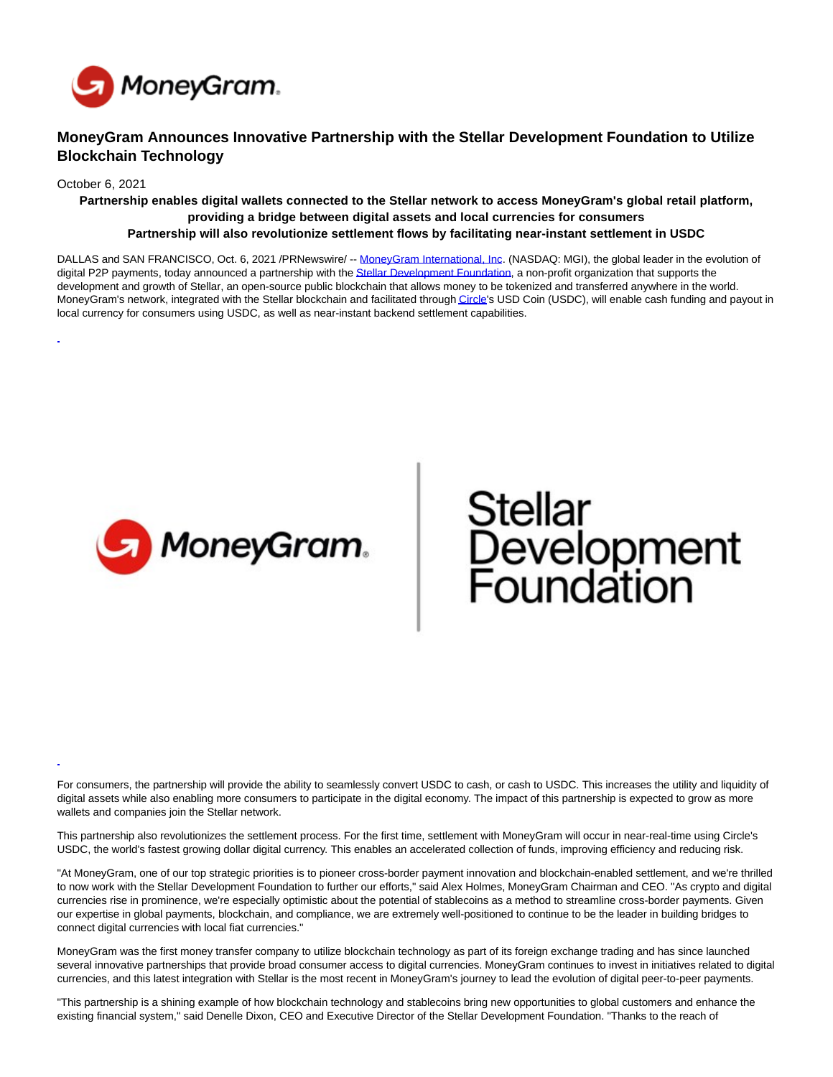

# **MoneyGram Announces Innovative Partnership with the Stellar Development Foundation to Utilize Blockchain Technology**

October 6, 2021

**Partnership enables digital wallets connected to the Stellar network to access MoneyGram's global retail platform, providing a bridge between digital assets and local currencies for consumers Partnership will also revolutionize settlement flows by facilitating near-instant settlement in USDC**

DALLAS and SAN FRANCISCO, Oct. 6, 2021 /PRNewswire/ -- [MoneyGram International, Inc.](https://c212.net/c/link/?t=0&l=en&o=3315429-1&h=255399623&u=http%3A%2F%2Fglobal.moneygram.com%2F&a=MoneyGram+International%2C+Inc) (NASDAQ: MGI), the global leader in the evolution of digital P2P payments, today announced a partnership with the [Stellar Development Foundation,](https://c212.net/c/link/?t=0&l=en&o=3315429-1&h=3845333036&u=https%3A%2F%2Fwww.stellar.org%2Ffoundation&a=Stellar+Development+Foundation) a non-profit organization that supports the development and growth of Stellar, an open-source public blockchain that allows money to be tokenized and transferred anywhere in the world. MoneyGram's network, integrated with the Stellar blockchain and facilitated throug[h Circle's](https://c212.net/c/link/?t=0&l=en&o=3315429-1&h=149979837&u=https%3A%2F%2Fwww.circle.com%2F&a=Circle) USD Coin (USDC), will enable cash funding and payout in local currency for consumers using USDC, as well as near-instant backend settlement capabilities.



# Stellar<br>Development<br>Foundation

For consumers, the partnership will provide the ability to seamlessly convert USDC to cash, or cash to USDC. This increases the utility and liquidity of digital assets while also enabling more consumers to participate in the digital economy. The impact of this partnership is expected to grow as more wallets and companies join the Stellar network.

This partnership also revolutionizes the settlement process. For the first time, settlement with MoneyGram will occur in near-real-time using Circle's USDC, the world's fastest growing dollar digital currency. This enables an accelerated collection of funds, improving efficiency and reducing risk.

"At MoneyGram, one of our top strategic priorities is to pioneer cross-border payment innovation and blockchain-enabled settlement, and we're thrilled to now work with the Stellar Development Foundation to further our efforts," said Alex Holmes, MoneyGram Chairman and CEO. "As crypto and digital currencies rise in prominence, we're especially optimistic about the potential of stablecoins as a method to streamline cross-border payments. Given our expertise in global payments, blockchain, and compliance, we are extremely well-positioned to continue to be the leader in building bridges to connect digital currencies with local fiat currencies."

MoneyGram was the first money transfer company to utilize blockchain technology as part of its foreign exchange trading and has since launched several innovative partnerships that provide broad consumer access to digital currencies. MoneyGram continues to invest in initiatives related to digital currencies, and this latest integration with Stellar is the most recent in MoneyGram's journey to lead the evolution of digital peer-to-peer payments.

"This partnership is a shining example of how blockchain technology and stablecoins bring new opportunities to global customers and enhance the existing financial system," said Denelle Dixon, CEO and Executive Director of the Stellar Development Foundation. "Thanks to the reach of